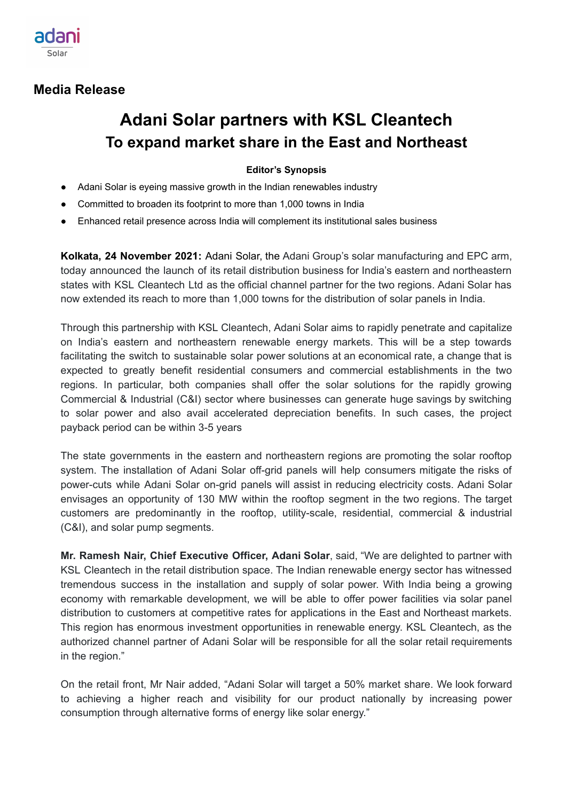

## **Media Release**

# **Adani Solar partners with KSL Cleantech To expand market share in the East and Northeast**

### **Editor's Synopsis**

- Adani Solar is eyeing massive growth in the Indian renewables industry
- Committed to broaden its footprint to more than 1,000 towns in India
- Enhanced retail presence across India will complement its institutional sales business

**Kolkata, 24 November 2021:** Adani Solar, the Adani Group's solar manufacturing and EPC arm, today announced the launch of its retail distribution business for India's eastern and northeastern states with KSL Cleantech Ltd as the official channel partner for the two regions. Adani Solar has now extended its reach to more than 1,000 towns for the distribution of solar panels in India.

Through this partnership with KSL Cleantech, Adani Solar aims to rapidly penetrate and capitalize on India's eastern and northeastern renewable energy markets. This will be a step towards facilitating the switch to sustainable solar power solutions at an economical rate, a change that is expected to greatly benefit residential consumers and commercial establishments in the two regions. In particular, both companies shall offer the solar solutions for the rapidly growing Commercial & Industrial (C&I) sector where businesses can generate huge savings by switching to solar power and also avail accelerated depreciation benefits. In such cases, the project payback period can be within 3-5 years

The state governments in the eastern and northeastern regions are promoting the solar rooftop system. The installation of Adani Solar off-grid panels will help consumers mitigate the risks of power-cuts while Adani Solar on-grid panels will assist in reducing electricity costs. Adani Solar envisages an opportunity of 130 MW within the rooftop segment in the two regions. The target customers are predominantly in the rooftop, utility-scale, residential, commercial & industrial (C&I), and solar pump segments.

**Mr. Ramesh Nair, Chief Executive Officer, Adani Solar**, said, "We are delighted to partner with KSL Cleantech in the retail distribution space. The Indian renewable energy sector has witnessed tremendous success in the installation and supply of solar power. With India being a growing economy with remarkable development, we will be able to offer power facilities via solar panel distribution to customers at competitive rates for applications in the East and Northeast markets. This region has enormous investment opportunities in renewable energy. KSL Cleantech, as the authorized channel partner of Adani Solar will be responsible for all the solar retail requirements in the region."

On the retail front, Mr Nair added, "Adani Solar will target a 50% market share. We look forward to achieving a higher reach and visibility for our product nationally by increasing power consumption through alternative forms of energy like solar energy."